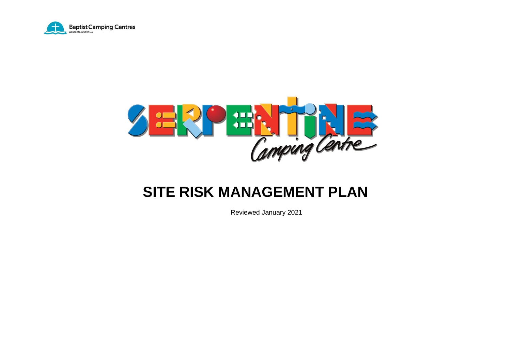



# **SITE RISK MANAGEMENT PLAN**

Reviewed January 2021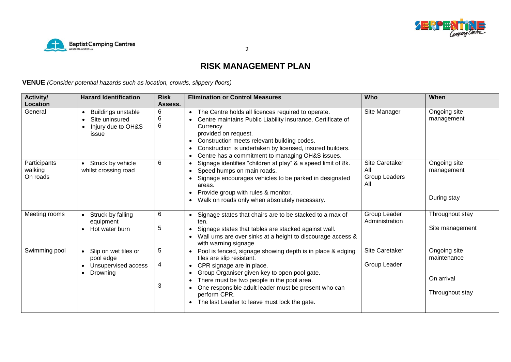



**RISK MANAGEMENT PLAN**

**VENUE** *(Consider potential hazards such as location, crowds, slippery floors)*

| <b>Activity/</b>                    | <b>Hazard Identification</b>                                                        | <b>Risk</b>               | <b>Elimination or Control Measures</b>                                                                                                                                                                                                                                                                                                                                                         | <b>Who</b>                                    | When                                                         |
|-------------------------------------|-------------------------------------------------------------------------------------|---------------------------|------------------------------------------------------------------------------------------------------------------------------------------------------------------------------------------------------------------------------------------------------------------------------------------------------------------------------------------------------------------------------------------------|-----------------------------------------------|--------------------------------------------------------------|
| Location                            |                                                                                     | Assess.                   |                                                                                                                                                                                                                                                                                                                                                                                                |                                               |                                                              |
| General                             | <b>Buildings unstable</b><br>Site uninsured<br>Injury due to OH&S<br>issue          | 6<br>6<br>$6\phantom{1}6$ | The Centre holds all licences required to operate.<br>$\bullet$<br>Centre maintains Public Liability insurance. Certificate of<br>$\bullet$<br>Currency<br>provided on request.<br>Construction meets relevant building codes.<br>$\bullet$<br>Construction is undertaken by licensed, insured builders.<br>$\bullet$<br>Centre has a commitment to managing OH&S issues.<br>$\bullet$         | Site Manager                                  | Ongoing site<br>management                                   |
| Participants<br>walking<br>On roads | • Struck by vehicle<br>whilst crossing road                                         | 6                         | Signage identifies "children at play" & a speed limit of 8k.<br>Speed humps on main roads.<br>Signage encourages vehicles to be parked in designated<br>areas.<br>Provide group with rules & monitor.<br>$\bullet$<br>Walk on roads only when absolutely necessary.                                                                                                                            | Site Caretaker<br>All<br>Group Leaders<br>All | Ongoing site<br>management<br>During stay                    |
| Meeting rooms                       | Struck by falling<br>equipment<br>Hot water burn                                    | 6<br>5                    | Signage states that chairs are to be stacked to a max of<br>ten.<br>Signage states that tables are stacked against wall.<br>$\bullet$<br>Wall urns are over sinks at a height to discourage access &<br>$\bullet$<br>with warning signage                                                                                                                                                      | Group Leader<br>Administration                | Throughout stay<br>Site management                           |
| Swimming pool                       | • Slip on wet tiles or<br>pool edge<br>Unsupervised access<br>Drowning<br>$\bullet$ | 5<br>4<br>3               | Pool is fenced, signage showing depth is in place & edging<br>tiles are slip resistant.<br>CPR signage are in place.<br>$\bullet$<br>Group Organiser given key to open pool gate.<br>$\bullet$<br>There must be two people in the pool area.<br>$\bullet$<br>One responsible adult leader must be present who can<br>$\bullet$<br>perform CPR.<br>The last Leader to leave must lock the gate. | Site Caretaker<br>Group Leader                | Ongoing site<br>maintenance<br>On arrival<br>Throughout stay |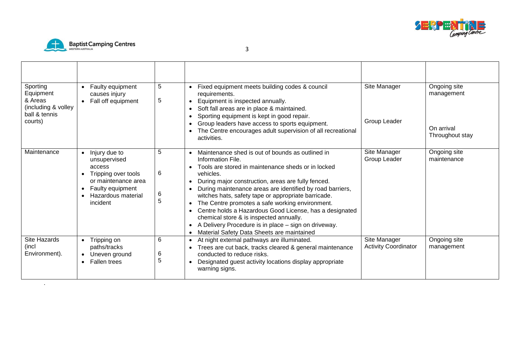



.

| Sporting<br>Equipment<br>& Areas<br>(including & volley<br>ball & tennis<br>courts) | Faulty equipment<br>causes injury<br>Fall off equipment                                                                                                               | 5<br>5           | Fixed equipment meets building codes & council<br>$\bullet$<br>requirements.<br>Equipment is inspected annually.<br>$\bullet$<br>Soft fall areas are in place & maintained.<br>Sporting equipment is kept in good repair.<br>Group leaders have access to sports equipment.<br>The Centre encourages adult supervision of all recreational<br>activities.                                                                                                                                                                                                                                                                | Site Manager<br>Group Leader                | Ongoing site<br>management<br>On arrival<br>Throughout stay |
|-------------------------------------------------------------------------------------|-----------------------------------------------------------------------------------------------------------------------------------------------------------------------|------------------|--------------------------------------------------------------------------------------------------------------------------------------------------------------------------------------------------------------------------------------------------------------------------------------------------------------------------------------------------------------------------------------------------------------------------------------------------------------------------------------------------------------------------------------------------------------------------------------------------------------------------|---------------------------------------------|-------------------------------------------------------------|
| Maintenance                                                                         | Injury due to<br>$\bullet$<br>unsupervised<br>access<br>Tripping over tools<br>or maintenance area<br>Faulty equipment<br>$\bullet$<br>Hazardous material<br>incident | 5<br>6<br>6<br>5 | Maintenance shed is out of bounds as outlined in<br>$\bullet$<br>Information File.<br>Tools are stored in maintenance sheds or in locked<br>vehicles.<br>During major construction, areas are fully fenced.<br>During maintenance areas are identified by road barriers,<br>witches hats, safety tape or appropriate barricade.<br>The Centre promotes a safe working environment.<br>$\bullet$<br>Centre holds a Hazardous Good License, has a designated<br>chemical store & is inspected annually.<br>A Delivery Procedure is in place - sign on driveway.<br>Material Safety Data Sheets are maintained<br>$\bullet$ | Site Manager<br>Group Leader                | Ongoing site<br>maintenance                                 |
| Site Hazards<br>(incl<br>Environment).                                              | Tripping on<br>paths/tracks<br>Uneven ground<br><b>Fallen trees</b>                                                                                                   | 6<br>6<br>5      | At night external pathways are illuminated.<br>$\bullet$<br>Trees are cut back, tracks cleared & general maintenance<br>conducted to reduce risks.<br>Designated guest activity locations display appropriate<br>$\bullet$<br>warning signs.                                                                                                                                                                                                                                                                                                                                                                             | Site Manager<br><b>Activity Coordinator</b> | Ongoing site<br>management                                  |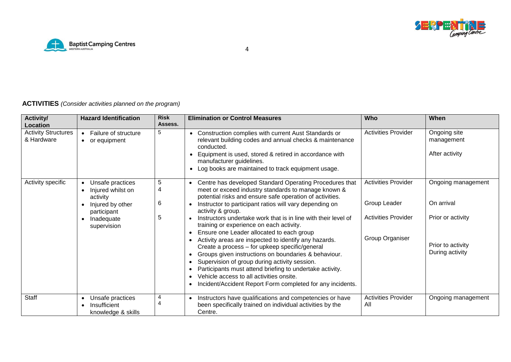



## **ACTIVITIES** *(Consider activities planned on the program)*

| <b>Activity/</b><br>Location             | <b>Hazard Identification</b>                           | <b>Risk</b><br>Assess. | <b>Elimination or Control Measures</b>                                                                                                                                                                                                                                                                                                                                                                           | Who                               | When                                         |
|------------------------------------------|--------------------------------------------------------|------------------------|------------------------------------------------------------------------------------------------------------------------------------------------------------------------------------------------------------------------------------------------------------------------------------------------------------------------------------------------------------------------------------------------------------------|-----------------------------------|----------------------------------------------|
| <b>Activity Structures</b><br>& Hardware | Failure of structure<br>• or equipment                 | 5                      | • Construction complies with current Aust Standards or<br>relevant building codes and annual checks & maintenance<br>conducted.<br>Equipment is used, stored & retired in accordance with<br>manufacturer guidelines.<br>Log books are maintained to track equipment usage.<br>$\bullet$                                                                                                                         | <b>Activities Provider</b>        | Ongoing site<br>management<br>After activity |
| Activity specific                        | Unsafe practices<br>Injured whilst on<br>activity      | $\overline{5}$<br>4    | Centre has developed Standard Operating Procedures that<br>$\bullet$<br>meet or exceed industry standards to manage known &<br>potential risks and ensure safe operation of activities.                                                                                                                                                                                                                          | <b>Activities Provider</b>        | Ongoing management                           |
|                                          | Injured by other<br>participant                        | 6                      | Instructor to participant ratios will vary depending on<br>$\bullet$<br>activity & group.                                                                                                                                                                                                                                                                                                                        | Group Leader                      | On arrival                                   |
|                                          | Inadequate<br>supervision                              | 5                      | Instructors undertake work that is in line with their level of<br>$\bullet$<br>training or experience on each activity.<br>Ensure one Leader allocated to each group<br>$\bullet$                                                                                                                                                                                                                                | <b>Activities Provider</b>        | Prior or activity                            |
|                                          |                                                        |                        | Activity areas are inspected to identify any hazards.<br>Create a process - for upkeep specific/general<br>Groups given instructions on boundaries & behaviour.<br>Supervision of group during activity session.<br>$\bullet$<br>Participants must attend briefing to undertake activity.<br>Vehicle access to all activities onsite.<br>$\bullet$<br>Incident/Accident Report Form completed for any incidents. | Group Organiser                   | Prior to activity<br>During activity         |
| <b>Staff</b>                             | Unsafe practices<br>Insufficient<br>knowledge & skills | 4<br>4                 | Instructors have qualifications and competencies or have<br>$\bullet$<br>been specifically trained on individual activities by the<br>Centre.                                                                                                                                                                                                                                                                    | <b>Activities Provider</b><br>All | Ongoing management                           |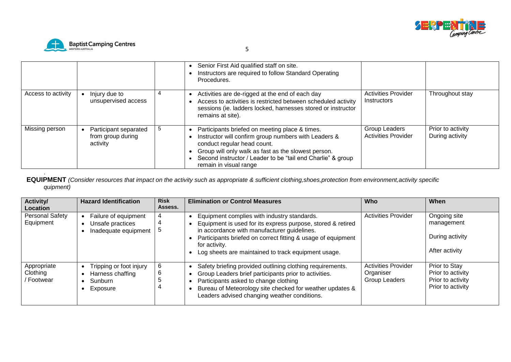



.

|                    |                                                        |   | Senior First Aid qualified staff on site.<br>Instructors are required to follow Standard Operating<br>Procedures.                                                                                                                                                                     |                                                                |                                      |
|--------------------|--------------------------------------------------------|---|---------------------------------------------------------------------------------------------------------------------------------------------------------------------------------------------------------------------------------------------------------------------------------------|----------------------------------------------------------------|--------------------------------------|
| Access to activity | Injury due to<br>unsupervised access                   |   | Activities are de-rigged at the end of each day<br>Access to activities is restricted between scheduled activity<br>sessions (ie. ladders locked, harnesses stored or instructor<br>remains at site).                                                                                 | <b>Activities Provider</b><br><i><u><b>Instructors</b></u></i> | Throughout stay                      |
| Missing person     | Participant separated<br>from group during<br>activity | 5 | Participants briefed on meeting place & times.<br>Instructor will confirm group numbers with Leaders &<br>conduct regular head count.<br>Group will only walk as fast as the slowest person.<br>Second instructor / Leader to be "tail end Charlie" & group<br>remain in visual range | Group Leaders<br><b>Activities Provider</b>                    | Prior to activity<br>During activity |

**EQUIPMENT** *(Consider resources that impact on the activity such as appropriate & sufficient clothing,shoes,protection from environment,activity specific quipment)*

| <b>Activity/</b><br><b>Location</b>   | <b>Hazard Identification</b>                                       | <b>Risk</b><br>Assess. | <b>Elimination or Control Measures</b>                                                                                                                                                                                                                                                            | <b>Who</b>                                               | When                                                                         |
|---------------------------------------|--------------------------------------------------------------------|------------------------|---------------------------------------------------------------------------------------------------------------------------------------------------------------------------------------------------------------------------------------------------------------------------------------------------|----------------------------------------------------------|------------------------------------------------------------------------------|
| <b>Personal Safety</b><br>Equipment   | Failure of equipment<br>Unsafe practices<br>Inadequate equipment   | 4<br>4                 | Equipment complies with industry standards.<br>Equipment is used for its express purpose, stored & retired<br>in accordance with manufacturer guidelines.<br>Participants briefed on correct fitting & usage of equipment<br>for activity.<br>Log sheets are maintained to track equipment usage. | <b>Activities Provider</b>                               | Ongoing site<br>management<br>During activity<br>After activity              |
| Appropriate<br>Clothing<br>/ Footwear | Tripping or foot injury<br>Harness chaffing<br>Sunburn<br>Exposure | 6<br>6<br>່ວ           | Safety briefing provided outlining clothing requirements.<br>Group Leaders brief participants prior to activities.<br>Participants asked to change clothing<br>Bureau of Meteorology site checked for weather updates &<br>Leaders advised changing weather conditions.                           | <b>Activities Provider</b><br>Organiser<br>Group Leaders | Prior to Stay<br>Prior to activity<br>Prior to activity<br>Prior to activity |

 $5<sub>5</sub>$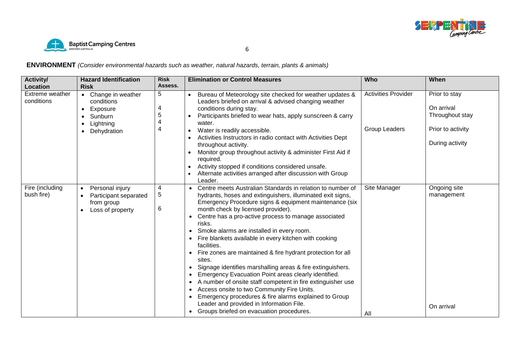



**ENVIRONMENT** *(Consider environmental hazards such as weather, natural hazards, terrain, plants & animals)*

| <b>Activity/</b><br><b>Location</b> | <b>Hazard Identification</b><br><b>Risk</b>                                                                                            | <b>Risk</b><br>Assess. | <b>Elimination or Control Measures</b>                                                                                                                                                                                                                                                                                                                                                                                                                                                                                                                                                                                                                                                                                                                                                                                                                                                                              | Who                                         | When                                                                                   |
|-------------------------------------|----------------------------------------------------------------------------------------------------------------------------------------|------------------------|---------------------------------------------------------------------------------------------------------------------------------------------------------------------------------------------------------------------------------------------------------------------------------------------------------------------------------------------------------------------------------------------------------------------------------------------------------------------------------------------------------------------------------------------------------------------------------------------------------------------------------------------------------------------------------------------------------------------------------------------------------------------------------------------------------------------------------------------------------------------------------------------------------------------|---------------------------------------------|----------------------------------------------------------------------------------------|
| Extreme weather<br>conditions       | Change in weather<br>$\bullet$<br>conditions<br>Exposure<br>$\bullet$<br>Sunburn<br>Lightning<br>$\bullet$<br>Dehydration<br>$\bullet$ | 5<br>4<br>5            | Bureau of Meteorology site checked for weather updates &<br>$\bullet$<br>Leaders briefed on arrival & advised changing weather<br>conditions during stay.<br>Participants briefed to wear hats, apply sunscreen & carry<br>water.<br>Water is readily accessible.<br>$\bullet$<br>Activities Instructors in radio contact with Activities Dept<br>throughout activity.<br>Monitor group throughout activity & administer First Aid if<br>required.<br>Activity stopped if conditions considered unsafe.<br>Alternate activities arranged after discussion with Group<br>Leader.                                                                                                                                                                                                                                                                                                                                     | <b>Activities Provider</b><br>Group Leaders | Prior to stay<br>On arrival<br>Throughout stay<br>Prior to activity<br>During activity |
| Fire (including<br>bush fire)       | Personal injury<br>$\bullet$<br>Participant separated<br>from group<br>Loss of property<br>$\bullet$                                   | 4<br>5<br>6            | Centre meets Australian Standards in relation to number of<br>hydrants, hoses and extinguishers, illuminated exit signs,<br>Emergency Procedure signs & equipment maintenance (six<br>month check by licensed provider).<br>Centre has a pro-active process to manage associated<br>risks.<br>Smoke alarms are installed in every room.<br>Fire blankets available in every kitchen with cooking<br>facilities.<br>Fire zones are maintained & fire hydrant protection for all<br>sites.<br>Signage identifies marshalling areas & fire extinguishers.<br>Emergency Evacuation Point areas clearly identified.<br>A number of onsite staff competent in fire extinguisher use<br>$\bullet$<br>Access onsite to two Community Fire Units.<br>$\bullet$<br>Emergency procedures & fire alarms explained to Group<br>$\bullet$<br>Leader and provided in Information File.<br>Groups briefed on evacuation procedures. | Site Manager<br>All                         | Ongoing site<br>management<br>On arrival                                               |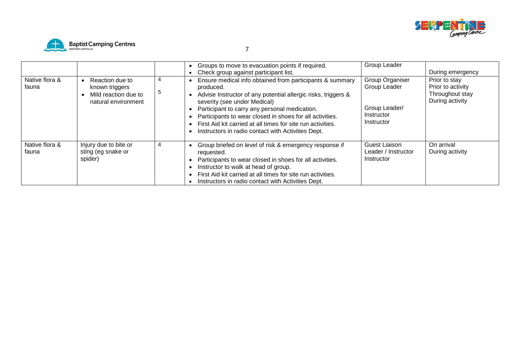



| Native flora &<br>fauna | Reaction due to<br>known triggers<br>Mild reaction due to<br>natural environment | 4<br>đ | Groups to move to evacuation points if required.<br>Check group against participant list.<br>Ensure medical info obtained from participants & summary<br>produced.<br>Advise Instructor of any potential allergic risks, triggers &<br>severity (see under Medical)<br>Participant to carry any personal medication.<br>Participants to wear closed in shoes for all activities.<br>First Aid kit carried at all times for site run activities. | Group Leader<br>Group Organiser<br>Group Leader<br>Group Leader/<br>Instructor<br>Instructor | During emergency<br>Prior to stay<br>Prior to activity<br>Throughout stay<br>During activity |
|-------------------------|----------------------------------------------------------------------------------|--------|-------------------------------------------------------------------------------------------------------------------------------------------------------------------------------------------------------------------------------------------------------------------------------------------------------------------------------------------------------------------------------------------------------------------------------------------------|----------------------------------------------------------------------------------------------|----------------------------------------------------------------------------------------------|
| Native flora &<br>fauna | Injury due to bite or<br>sting (eg snake or<br>spider)                           | 4      | Instructors in radio contact with Activities Dept.<br>Group briefed on level of risk & emergency response if<br>requested.<br>Participants to wear closed in shoes for all activities.<br>Instructor to walk at head of group.<br>First Aid kit carried at all times for site run activities.<br>Instructors in radio contact with Activities Dept.                                                                                             | Guest Liaison<br>Leader / Instructor<br>Instructor                                           | On arrival<br>During activity                                                                |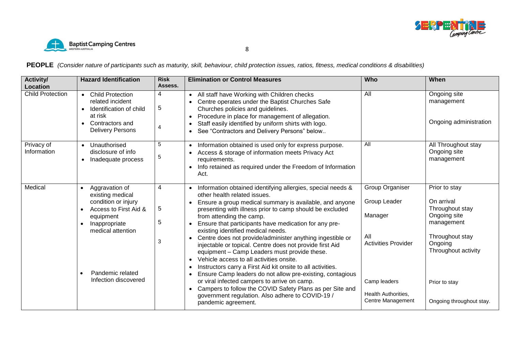



**PEOPLE** *(Consider nature of participants such as maturity, skill, behaviour, child protection issues, ratios, fitness, medical conditions & disabilities)*

| <b>Activity/</b><br>Location | <b>Hazard Identification</b>                                                                                                                                                                                                          | <b>Risk</b><br>Assess.    | <b>Elimination or Control Measures</b>                                                                                                                                                                                                                                                                                                                                                                                                                                                                                                                                                                                                                                                                                                                                                                                                                                                                                                                                           | Who                                                                                                                                         | When                                                                                                                                                                           |
|------------------------------|---------------------------------------------------------------------------------------------------------------------------------------------------------------------------------------------------------------------------------------|---------------------------|----------------------------------------------------------------------------------------------------------------------------------------------------------------------------------------------------------------------------------------------------------------------------------------------------------------------------------------------------------------------------------------------------------------------------------------------------------------------------------------------------------------------------------------------------------------------------------------------------------------------------------------------------------------------------------------------------------------------------------------------------------------------------------------------------------------------------------------------------------------------------------------------------------------------------------------------------------------------------------|---------------------------------------------------------------------------------------------------------------------------------------------|--------------------------------------------------------------------------------------------------------------------------------------------------------------------------------|
| <b>Child Protection</b>      | <b>Child Protection</b><br>$\bullet$<br>related incident<br>Identification of child<br>$\bullet$<br>at risk<br>Contractors and<br><b>Delivery Persons</b>                                                                             | 4<br>$\sqrt{5}$<br>4      | • All staff have Working with Children checks<br>Centre operates under the Baptist Churches Safe<br>$\bullet$<br>Churches policies and guidelines.<br>Procedure in place for management of allegation.<br>$\bullet$<br>Staff easily identified by uniform shirts with logo.<br>$\bullet$<br>See "Contractors and Delivery Persons" below<br>$\bullet$                                                                                                                                                                                                                                                                                                                                                                                                                                                                                                                                                                                                                            | All                                                                                                                                         | Ongoing site<br>management<br>Ongoing administration                                                                                                                           |
| Privacy of<br>Information    | Unauthorised<br>disclosure of info<br>Inadequate process<br>$\bullet$                                                                                                                                                                 | 5<br>5                    | Information obtained is used only for express purpose.<br>$\bullet$<br>Access & storage of information meets Privacy Act<br>$\bullet$<br>requirements.<br>Info retained as required under the Freedom of Information<br>$\bullet$<br>Act.                                                                                                                                                                                                                                                                                                                                                                                                                                                                                                                                                                                                                                                                                                                                        | All                                                                                                                                         | All Throughout stay<br>Ongoing site<br>management                                                                                                                              |
| Medical                      | Aggravation of<br>$\bullet$<br>existing medical<br>condition or injury<br>Access to First Aid &<br>$\bullet$<br>equipment<br>Inappropriate<br>$\bullet$<br>medical attention<br>Pandemic related<br>$\bullet$<br>Infection discovered | 4<br>$\sqrt{5}$<br>5<br>3 | Information obtained identifying allergies, special needs &<br>$\bullet$<br>other health related issues.<br>Ensure a group medical summary is available, and anyone<br>$\bullet$<br>presenting with illness prior to camp should be excluded<br>from attending the camp.<br>Ensure that participants have medication for any pre-<br>$\bullet$<br>existing identified medical needs.<br>Centre does not provide/administer anything ingestible or<br>injectable or topical. Centre does not provide first Aid<br>equipment - Camp Leaders must provide these.<br>Vehicle access to all activities onsite.<br>$\bullet$<br>Instructors carry a First Aid kit onsite to all activities.<br>$\bullet$<br>Ensure Camp leaders do not allow pre-existing, contagious<br>$\bullet$<br>or viral infected campers to arrive on camp.<br>Campers to follow the COVID Safety Plans as per Site and<br>$\bullet$<br>government regulation. Also adhere to COVID-19 /<br>pandemic agreement. | Group Organiser<br>Group Leader<br>Manager<br>All<br><b>Activities Provider</b><br>Camp leaders<br>Health Authorities,<br>Centre Management | Prior to stay<br>On arrival<br>Throughout stay<br>Ongoing site<br>management<br>Throughout stay<br>Ongoing<br>Throughout activity<br>Prior to stay<br>Ongoing throughout stay. |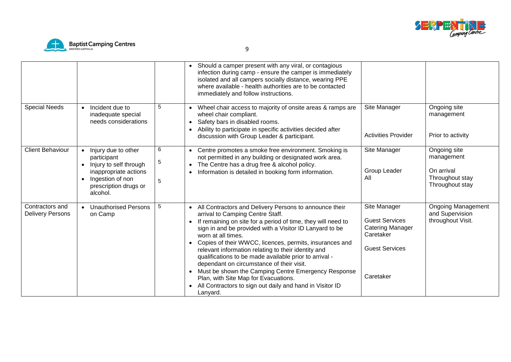



|                                            |                                                                                                                                                |             | Should a camper present with any viral, or contagious<br>$\bullet$<br>infection during camp - ensure the camper is immediately<br>isolated and all campers socially distance, wearing PPE<br>where available - health authorities are to be contacted<br>immediately and follow instructions.                                                                                                                                                                                                                                                                                                                                                                                                   |                                                                                                                     |                                                                                |
|--------------------------------------------|------------------------------------------------------------------------------------------------------------------------------------------------|-------------|-------------------------------------------------------------------------------------------------------------------------------------------------------------------------------------------------------------------------------------------------------------------------------------------------------------------------------------------------------------------------------------------------------------------------------------------------------------------------------------------------------------------------------------------------------------------------------------------------------------------------------------------------------------------------------------------------|---------------------------------------------------------------------------------------------------------------------|--------------------------------------------------------------------------------|
| <b>Special Needs</b>                       | Incident due to<br>inadequate special<br>needs considerations                                                                                  | 5           | Wheel chair access to majority of onsite areas & ramps are<br>$\bullet$<br>wheel chair compliant.<br>Safety bars in disabled rooms.<br>$\bullet$<br>Ability to participate in specific activities decided after<br>$\bullet$<br>discussion with Group Leader & participant.                                                                                                                                                                                                                                                                                                                                                                                                                     | Site Manager<br><b>Activities Provider</b>                                                                          | Ongoing site<br>management<br>Prior to activity                                |
| <b>Client Behaviour</b>                    | Injury due to other<br>participant<br>Injury to self through<br>inappropriate actions<br>Ingestion of non<br>prescription drugs or<br>alcohol. | 6<br>5<br>5 | Centre promotes a smoke free environment. Smoking is<br>$\bullet$<br>not permitted in any building or designated work area.<br>The Centre has a drug free & alcohol policy.<br>$\bullet$<br>Information is detailed in booking form information.<br>$\bullet$                                                                                                                                                                                                                                                                                                                                                                                                                                   | Site Manager<br>Group Leader<br>All                                                                                 | Ongoing site<br>management<br>On arrival<br>Throughout stay<br>Throughout stay |
| Contractors and<br><b>Delivery Persons</b> | <b>Unauthorised Persons</b><br>on Camp                                                                                                         | 5           | All Contractors and Delivery Persons to announce their<br>$\bullet$<br>arrival to Camping Centre Staff.<br>If remaining on site for a period of time, they will need to<br>$\bullet$<br>sign in and be provided with a Visitor ID Lanyard to be<br>worn at all times.<br>Copies of their WWCC, licences, permits, insurances and<br>$\bullet$<br>relevant information relating to their identity and<br>qualifications to be made available prior to arrival -<br>dependant on circumstance of their visit.<br>Must be shown the Camping Centre Emergency Response<br>$\bullet$<br>Plan, with Site Map for Evacuations.<br>All Contractors to sign out daily and hand in Visitor ID<br>Lanyard. | Site Manager<br><b>Guest Services</b><br><b>Catering Manager</b><br>Caretaker<br><b>Guest Services</b><br>Caretaker | Ongoing Management<br>and Supervision<br>throughout Visit.                     |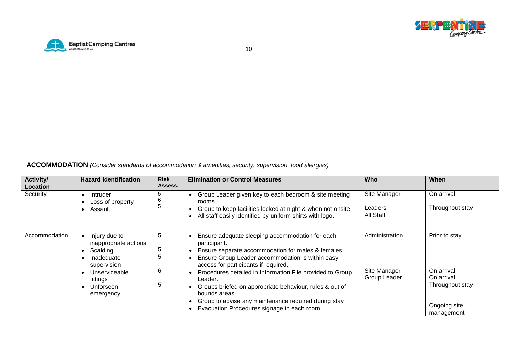



**ACCOMMODATION** *(Consider standards of accommodation & amenities, security, supervision, food allergies)*

| <b>Activity/</b><br>Location | <b>Hazard Identification</b>                                                                                                           | <b>Risk</b><br>Assess. | <b>Elimination or Control Measures</b>                                                                                                                                                                                                                                                                                                                                                                                                                                                                              | <b>Who</b>                                     | When                                                                                       |
|------------------------------|----------------------------------------------------------------------------------------------------------------------------------------|------------------------|---------------------------------------------------------------------------------------------------------------------------------------------------------------------------------------------------------------------------------------------------------------------------------------------------------------------------------------------------------------------------------------------------------------------------------------------------------------------------------------------------------------------|------------------------------------------------|--------------------------------------------------------------------------------------------|
| Security                     | Intruder<br>$\bullet$<br>Loss of property<br>Assault<br>$\bullet$                                                                      | .b<br>6<br>ಾ           | Group Leader given key to each bedroom & site meeting<br>rooms.<br>Group to keep facilities locked at night & when not onsite<br>All staff easily identified by uniform shirts with logo.                                                                                                                                                                                                                                                                                                                           | Site Manager<br>Leaders<br>All Staff           | On arrival<br>Throughout stay                                                              |
| Accommodation                | Injury due to<br>inappropriate actions<br>Scalding<br>Inadequate<br>supervision<br>Unserviceable<br>fittings<br>Unforseen<br>emergency | -5<br>5<br>ა<br>6<br>5 | Ensure adequate sleeping accommodation for each<br>participant.<br>Ensure separate accommodation for males & females.<br>$\bullet$<br>Ensure Group Leader accommodation is within easy<br>$\bullet$<br>access for participants if required.<br>Procedures detailed in Information File provided to Group<br>$\bullet$<br>Leader.<br>Groups briefed on appropriate behaviour, rules & out of<br>bounds areas.<br>Group to advise any maintenance required during stay<br>Evacuation Procedures signage in each room. | Administration<br>Site Manager<br>Group Leader | Prior to stay<br>On arrival<br>On arrival<br>Throughout stay<br>Ongoing site<br>management |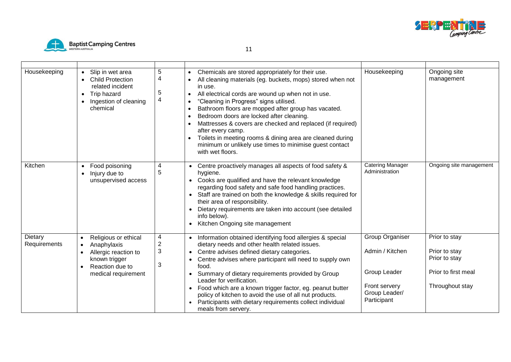



| Housekeeping            | Slip in wet area<br><b>Child Protection</b><br>related incident<br>• Trip hazard<br>Ingestion of cleaning<br>chemical                                         | 5<br>4<br>5<br>$\overline{\mathbf{4}}$ | Chemicals are stored appropriately for their use.<br>$\bullet$<br>All cleaning materials (eg. buckets, mops) stored when not<br>$\bullet$<br>in use.<br>All electrical cords are wound up when not in use.<br>$\bullet$<br>"Cleaning in Progress" signs utilised.<br>$\bullet$<br>Bathroom floors are mopped after group has vacated.<br>$\bullet$<br>Bedroom doors are locked after cleaning.<br>$\bullet$<br>Mattresses & covers are checked and replaced (if required)<br>after every camp.<br>Toilets in meeting rooms & dining area are cleaned during<br>minimum or unlikely use times to minimise guest contact<br>with wet floors. | Housekeeping                                                                                        | Ongoing site<br>management                                                                |
|-------------------------|---------------------------------------------------------------------------------------------------------------------------------------------------------------|----------------------------------------|--------------------------------------------------------------------------------------------------------------------------------------------------------------------------------------------------------------------------------------------------------------------------------------------------------------------------------------------------------------------------------------------------------------------------------------------------------------------------------------------------------------------------------------------------------------------------------------------------------------------------------------------|-----------------------------------------------------------------------------------------------------|-------------------------------------------------------------------------------------------|
| Kitchen                 | Food poisoning<br>Injury due to<br>unsupervised access                                                                                                        | 4<br>5                                 | Centre proactively manages all aspects of food safety &<br>hygiene.<br>Cooks are qualified and have the relevant knowledge<br>$\bullet$<br>regarding food safety and safe food handling practices.<br>Staff are trained on both the knowledge & skills required for<br>their area of responsibility.<br>Dietary requirements are taken into account (see detailed<br>info below).<br>Kitchen Ongoing site management                                                                                                                                                                                                                       | <b>Catering Manager</b><br>Administration                                                           | Ongoing site management                                                                   |
| Dietary<br>Requirements | Religious or ethical<br>$\bullet$<br>Anaphylaxis<br>$\bullet$<br>Allergic reaction to<br>known trigger<br>Reaction due to<br>$\bullet$<br>medical requirement | 4<br>$\boldsymbol{2}$<br>3<br>3        | Information obtained identifying food allergies & special<br>dietary needs and other health related issues.<br>Centre advises defined dietary categories.<br>$\bullet$<br>Centre advises where participant will need to supply own<br>food.<br>Summary of dietary requirements provided by Group<br>Leader for verification.<br>Food which are a known trigger factor, eg. peanut butter<br>$\bullet$<br>policy of kitchen to avoid the use of all nut products.<br>Participants with dietary requirements collect individual<br>meals from servery.                                                                                       | Group Organiser<br>Admin / Kitchen<br>Group Leader<br>Front servery<br>Group Leader/<br>Participant | Prior to stay<br>Prior to stay<br>Prior to stay<br>Prior to first meal<br>Throughout stay |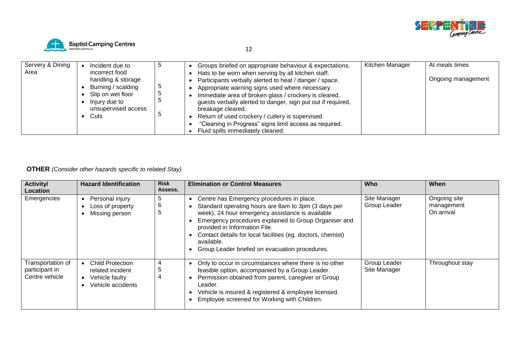



| Servery & Dining<br>Area | Incident due to<br>incorrect food<br>handling & storage<br>Burning / scalding<br>Slip on wet floor<br>Injury due to<br>unsupervised access<br>Cuts |  | Groups briefed on appropriate behaviour & expectations.<br>Hats to be worn when serving by all kitchen staff.<br>Participants verbally alerted to heat / danger / space.<br>Appropriate warning signs used where necessary.<br>Immediate area of broken glass / crockery is cleared,<br>guests verbally alerted to danger, sign put out if required,<br>breakage cleared.<br>Return of used crockery / cutlery is supervised.<br>"Cleaning in Progress" signs limit access as required.<br>Fluid spills immediately cleaned. | Kitchen Manager | At meals times<br>Ongoing management |
|--------------------------|----------------------------------------------------------------------------------------------------------------------------------------------------|--|------------------------------------------------------------------------------------------------------------------------------------------------------------------------------------------------------------------------------------------------------------------------------------------------------------------------------------------------------------------------------------------------------------------------------------------------------------------------------------------------------------------------------|-----------------|--------------------------------------|
|--------------------------|----------------------------------------------------------------------------------------------------------------------------------------------------|--|------------------------------------------------------------------------------------------------------------------------------------------------------------------------------------------------------------------------------------------------------------------------------------------------------------------------------------------------------------------------------------------------------------------------------------------------------------------------------------------------------------------------------|-----------------|--------------------------------------|

### **OTHER** *(Consider other hazards specific to related Stay)*

| <b>Activity/</b><br>Location                          | <b>Hazard Identification</b>                                                       | <b>Risk</b><br>Assess. | <b>Elimination or Control Measures</b>                                                                                                                                                                                                                                                                                                                                                                  | <b>Who</b>                   | When                                     |
|-------------------------------------------------------|------------------------------------------------------------------------------------|------------------------|---------------------------------------------------------------------------------------------------------------------------------------------------------------------------------------------------------------------------------------------------------------------------------------------------------------------------------------------------------------------------------------------------------|------------------------------|------------------------------------------|
| Emergencies                                           | Personal injury<br>Loss of property<br>Missing person                              | 5<br>6<br>5            | Centre has Emergency procedures in place.<br>$\bullet$<br>Standard operating hours are 8am to 3pm (3 days per<br>$\bullet$<br>week), 24 hour emergency assistance is available<br>Emergency procedures explained to Group Organiser and<br>provided in Information File.<br>Contact details for local facilities (eg. doctors, chemist)<br>available.<br>Group Leader briefed on evacuation procedures. | Site Manager<br>Group Leader | Ongoing site<br>management<br>On arrival |
| Transportation of<br>participant in<br>Centre vehicle | <b>Child Protection</b><br>related incident<br>Vehicle faulty<br>Vehicle accidents | 4<br>5<br>4            | Only to occur in circumstances where there is no other<br>$\bullet$<br>feasible option, accompanied by a Group Leader.<br>Permission obtained from parent, caregiver or Group<br>$\bullet$<br>Leader.<br>Vehicle is insured & registered & employee licensed.<br>Employee screened for Working with Children.                                                                                           | Group Leader<br>Site Manager | Throughout stay                          |